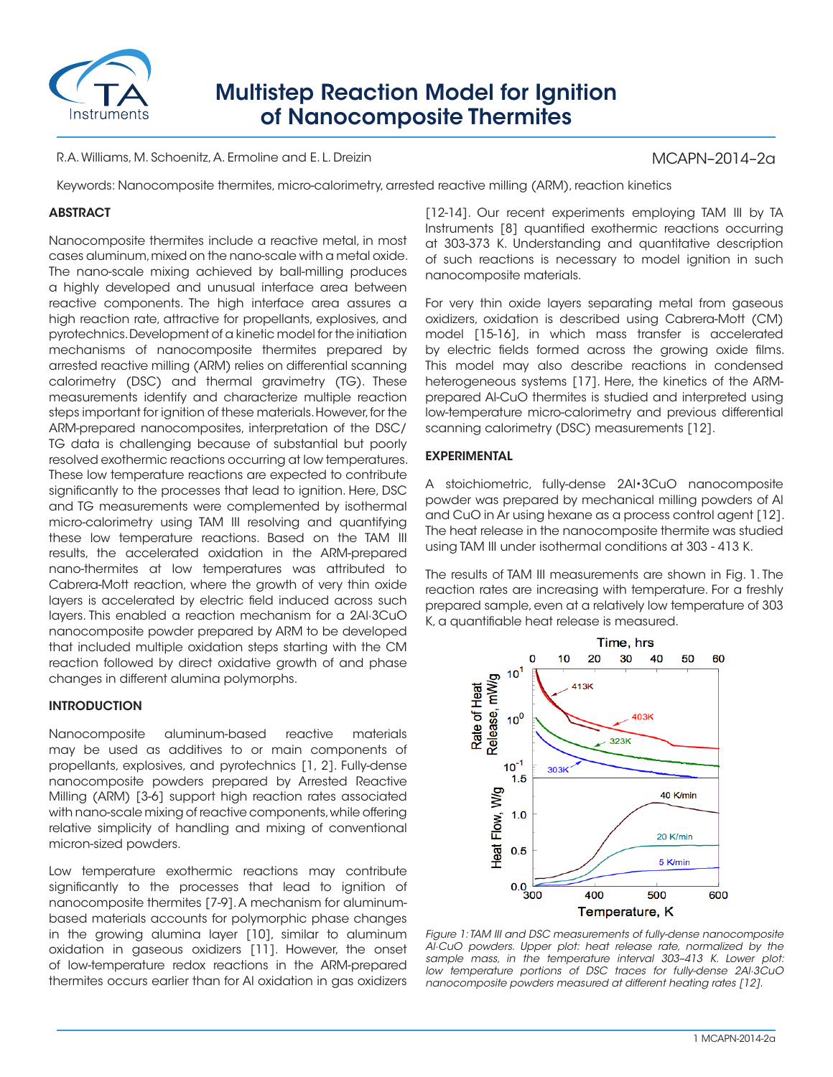

# Multistep Reaction Model for Ignition of Nanocomposite Thermites

R.A. Williams, M. Schoenitz, A. Ermoline and E. L. Dreizin

# MCAPN–2014–2a

Keywords: Nanocomposite thermites, micro-calorimetry, arrested reactive milling (ARM), reaction kinetics

# **ABSTRACT**

Nanocomposite thermites include a reactive metal, in most cases aluminum, mixed on the nano-scale with a metal oxide. The nano-scale mixing achieved by ball-milling produces a highly developed and unusual interface area between reactive components. The high interface area assures a high reaction rate, attractive for propellants, explosives, and pyrotechnics. Development of a kinetic model for the initiation mechanisms of nanocomposite thermites prepared by arrested reactive milling (ARM) relies on differential scanning calorimetry (DSC) and thermal gravimetry (TG). These measurements identify and characterize multiple reaction steps important for ignition of these materials. However, for the ARM-prepared nanocomposites, interpretation of the DSC/ TG data is challenging because of substantial but poorly resolved exothermic reactions occurring at low temperatures. These low temperature reactions are expected to contribute significantly to the processes that lead to ignition. Here, DSC and TG measurements were complemented by isothermal micro-calorimetry using TAM III resolving and quantifying these low temperature reactions. Based on the TAM III results, the accelerated oxidation in the ARM-prepared nano-thermites at low temperatures was attributed to Cabrera-Mott reaction, where the growth of very thin oxide layers is accelerated by electric field induced across such layers. This enabled a reaction mechanism for a 2Al∙3CuO nanocomposite powder prepared by ARM to be developed that included multiple oxidation steps starting with the CM reaction followed by direct oxidative growth of and phase changes in different alumina polymorphs.

## INTRODUCTION

Nanocomposite aluminum-based reactive materials may be used as additives to or main components of propellants, explosives, and pyrotechnics [1, 2]. Fully-dense nanocomposite powders prepared by Arrested Reactive Milling (ARM) [3-6] support high reaction rates associated with nano-scale mixing of reactive components, while offering relative simplicity of handling and mixing of conventional micron-sized powders.

Low temperature exothermic reactions may contribute significantly to the processes that lead to ignition of nanocomposite thermites [7-9]. A mechanism for aluminumbased materials accounts for polymorphic phase changes in the growing alumina layer [10], similar to aluminum oxidation in gaseous oxidizers [11]. However, the onset of low-temperature redox reactions in the ARM-prepared thermites occurs earlier than for Al oxidation in gas oxidizers [12-14]. Our recent experiments employing TAM III by TA Instruments [8] quantified exothermic reactions occurring at 303-373 K. Understanding and quantitative description of such reactions is necessary to model ignition in such nanocomposite materials.

For very thin oxide layers separating metal from gaseous oxidizers, oxidation is described using Cabrera-Mott (CM) model [15-16], in which mass transfer is accelerated by electric fields formed across the growing oxide films. This model may also describe reactions in condensed heterogeneous systems [17]. Here, the kinetics of the ARMprepared Al-CuO thermites is studied and interpreted using low-temperature micro-calorimetry and previous differential scanning calorimetry (DSC) measurements [12].

# EXPERIMENTAL

A stoichiometric, fully-dense 2Al•3CuO nanocomposite powder was prepared by mechanical milling powders of Al and CuO in Ar using hexane as a process control agent [12]. The heat release in the nanocomposite thermite was studied using TAM III under isothermal conditions at 303 - 413 K.

The results of TAM III measurements are shown in Fig. 1. The reaction rates are increasing with temperature. For a freshly prepared sample, even at a relatively low temperature of 303 K, a quantifiable heat release is measured.



*Figure 1: TAM III and DSC measurements of fully-dense nanocomposite Al∙CuO powders. Upper plot: heat release rate, normalized by the*  sample mass, in the temperature interval 303-413 K. Lower plot: *low temperature portions of DSC traces for fully-dense 2Al∙3CuO nanocomposite powders measured at different heating rates [12].*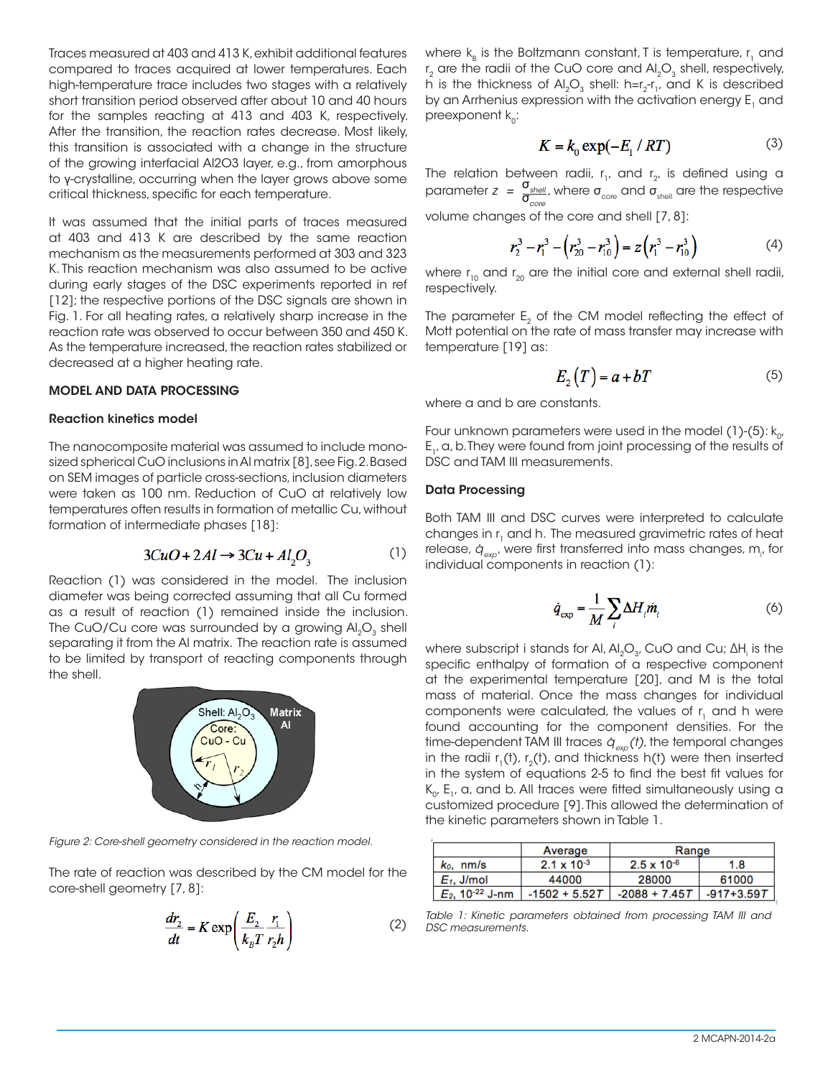Traces measured at 403 and 413 K, exhibit additional features compared to traces acquired at lower temperatures. Each high-temperature trace includes two stages with a relatively short transition period observed after about 10 and 40 hours for the samples reacting at 413 and 403 K, respectively. After the transition, the reaction rates decrease. Most likely, this transition is associated with a change in the structure of the growing interfacial Al2O3 layer, e.g., from amorphous to γ-crystalline, occurring when the layer grows above some critical thickness, specific for each temperature.

It was assumed that the initial parts of traces measured at 403 and 413 K are described by the same reaction mechanism as the measurements performed at 303 and 323 K. This reaction mechanism was also assumed to be active during early stages of the DSC experiments reported in ref [12]; the respective portions of the DSC signals are shown in Fig. 1. For all heating rates, a relatively sharp increase in the reaction rate was observed to occur between 350 and 450 K. As the temperature increased, the reaction rates stabilized or decreased at a higher heating rate.

### MODEL AND DATA PROCESSING

#### Reaction kinetics model

The nanocomposite material was assumed to include monosized spherical CuO inclusions in Al matrix [8], see Fig. 2. Based on SEM images of particle cross-sections, inclusion diameters were taken as 100 nm. Reduction of CuO at relatively low temperatures often results in formation of metallic Cu, without formation of intermediate phases [18]:

$$
3CuO + 2Al \rightarrow 3Cu + Al2O2
$$
 (1)

Reaction (1) was considered in the model. The inclusion diameter was being corrected assuming that all Cu formed as a result of reaction (1) remained inside the inclusion. The CuO/Cu core was surrounded by a growing  $Al_2O_3$  shell separating it from the Al matrix. The reaction rate is assumed to be limited by transport of reacting components through the shell.



*Figure 2: Core-shell geometry considered in the reaction model.*

The rate of reaction was described by the CM model for the core-shell geometry [7, 8]:

$$
\frac{dr_2}{dt} = K \exp\left(\frac{E_2}{k_B T} \frac{r_1}{r_2 h}\right) \tag{2}
$$

where  $k<sub>n</sub>$  is the Boltzmann constant, T is temperature,  $r<sub>1</sub>$  and  $\rm r_{_2}$  are the radii of the CuO core and Al $\rm _2O_3$  shell, respectively, h is the thickness of Al<sub>2</sub>O<sub>3</sub> shell: h=r<sub>2</sub>-r<sub>1</sub>, and K is described by an Arrhenius expression with the activation energy  $E_1$  and preexponent  $k_{0}$ :

$$
K = k_0 \exp(-E_1 / RT) \tag{3}
$$

The relation between radii,  $r_1$ , and  $r_2$ , is defined using a parameter *z =*  σ σ *s c h o e r l* e, where  $\sigma_{\rm core}^{\vphantom{\rm s}}$  and  $\sigma_{\rm shell}^{\vphantom{\rm s}}$  are the respective  $\overline{\phantom{\sigma}}$ 

volume changes of the core and shell [7, 8]:

$$
r_2^3 - r_1^3 - (r_{20}^3 - r_{10}^3) = z (r_1^3 - r_{10}^3)
$$
 (4)

where  $r_{10}$  and  $r_{20}$  are the initial core and external shell radii, respectively.

The parameter  $E<sub>2</sub>$  of the CM model reflecting the effect of Mott potential on the rate of mass transfer may increase with temperature [19] as:

$$
E_2(T) = a + bT \tag{5}
$$

where a and b are constants.

Four unknown parameters were used in the model (1)-(5):  $k_{0}$ ,  $E_1$ , a, b. They were found from joint processing of the results of DSC and TAM III measurements.

#### Data Processing

Both TAM III and DSC curves were interpreted to calculate changes in r<sub>1</sub> and h. The measured gravimetric rates of heat release,  $\dot{q}_{\text{\tiny exp}}^{\text{}}$ , were first transferred into mass changes, m<sub>i</sub>, for individual components in reaction (1):

$$
\dot{q}_{\text{exp}} = \frac{1}{M} \sum_{i} \Delta H_i \dot{m}_i \tag{6}
$$

where subscript i stands for AI, AI $_2$ O<sub>3</sub>, CuO and Cu; ΔH<sub>i</sub> is the specific enthalpy of formation of a respective component at the experimental temperature [20], and M is the total mass of material. Once the mass changes for individual components were calculated, the values of r<sub>1</sub> and h were found accounting for the component densities. For the time-dependent TAM III traces  $\dot{q}_{\textrm{\tiny exp}}(t)$ , the temporal changes in the radii  $r_1(t)$ ,  $r_2(t)$ , and thickness h(t) were then inserted in the system of equations 2-5 to find the best fit values for  $K_{\alpha}$ , E<sub>1</sub>, a, and b. All traces were fitted simultaneously using a customized procedure [9]. This allowed the determination of the kinetic parameters shown in Table 1.

|                                | Average              | Range                |              |
|--------------------------------|----------------------|----------------------|--------------|
| $k_0$ , nm/s                   | $2.1 \times 10^{-3}$ | $2.5 \times 10^{-6}$ | 1.8          |
| $E_1$ , J/mol                  | 44000                | 28000                | 61000        |
| $E_2$ , 10 <sup>-22</sup> J-nm | $-1502 + 5.52T$      | $-2088 + 7.45T$      | $-917+3.59T$ |

Table 1: Kinetic parameters obtained from processing TAM III and *DSC measurements.*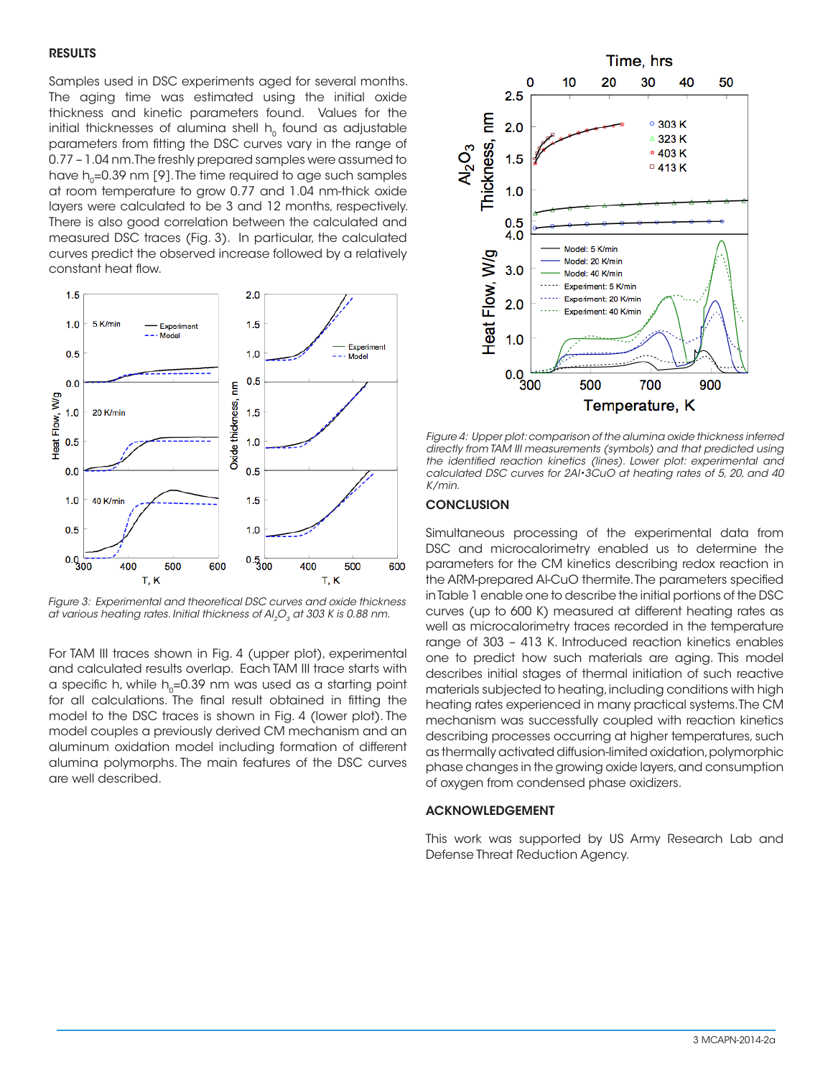## RESULTS

Samples used in DSC experiments aged for several months. The aging time was estimated using the initial oxide thickness and kinetic parameters found. Values for the initial thicknesses of alumina shell  $h_0$  found as adjustable parameters from fitting the DSC curves vary in the range of 0.77 – 1.04 nm. The freshly prepared samples were assumed to have  $h_0$ =0.39 nm [9]. The time required to age such samples at room temperature to grow 0.77 and 1.04 nm-thick oxide layers were calculated to be 3 and 12 months, respectively. There is also good correlation between the calculated and measured DSC traces (Fig. 3). In particular, the calculated curves predict the observed increase followed by a relatively constant heat flow.



*Figure 3: Experimental and theoretical DSC curves and oxide thickness at various heating rates. Initial thickness of Al<sub>2</sub>O<sub>3</sub> at 303 K is 0.88 nm.* 

For TAM III traces shown in Fig. 4 (upper plot), experimental and calculated results overlap. Each TAM III trace starts with a specific h, while  $h_0=0.39$  nm was used as a starting point for all calculations. The final result obtained in fitting the model to the DSC traces is shown in Fig. 4 (lower plot). The model couples a previously derived CM mechanism and an aluminum oxidation model including formation of different alumina polymorphs. The main features of the DSC curves are well described.



*Figure 4: Upper plot: comparison of the alumina oxide thickness inferred directly from TAM III measurements (symbols) and that predicted using the identified reaction kinetics (lines). Lower plot: experimental and calculated DSC curves for 2Al•3CuO at heating rates of 5, 20, and 40 K/min.*

## **CONCLUSION**

Simultaneous processing of the experimental data from DSC and microcalorimetry enabled us to determine the parameters for the CM kinetics describing redox reaction in the ARM-prepared Al-CuO thermite. The parameters specified in Table 1 enable one to describe the initial portions of the DSC curves (up to 600 K) measured at different heating rates as well as microcalorimetry traces recorded in the temperature range of 303 – 413 K. Introduced reaction kinetics enables one to predict how such materials are aging. This model describes initial stages of thermal initiation of such reactive materials subjected to heating, including conditions with high heating rates experienced in many practical systems. The CM mechanism was successfully coupled with reaction kinetics describing processes occurring at higher temperatures, such as thermally activated diffusion-limited oxidation, polymorphic phase changes in the growing oxide layers, and consumption of oxygen from condensed phase oxidizers.

#### ACKNOWLEDGEMENT

This work was supported by US Army Research Lab and Defense Threat Reduction Agency.